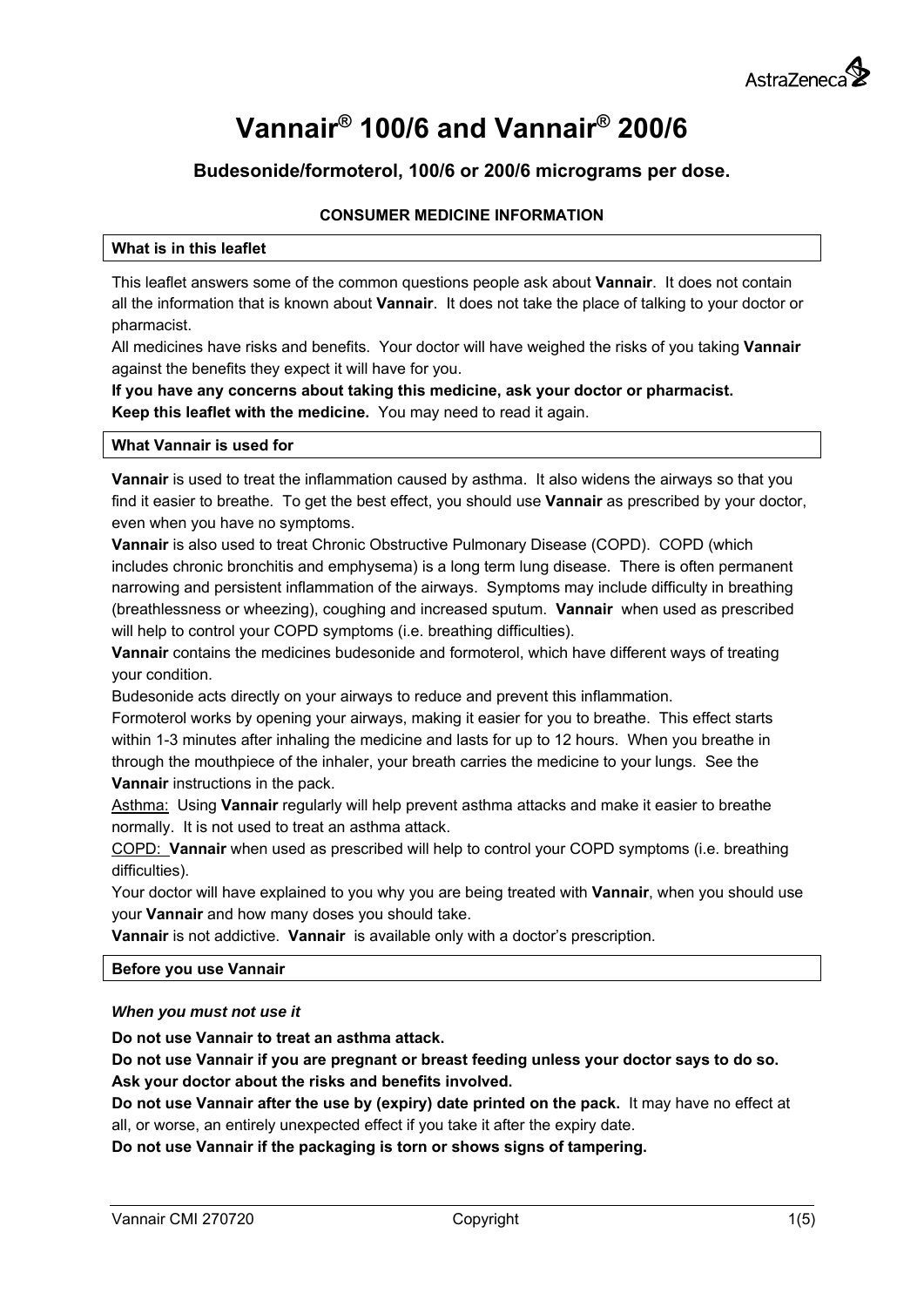# **Vannair® 100/6 and Vannair® 200/6**

# **Budesonide/formoterol, 100/6 or 200/6 micrograms per dose.**

# **CONSUMER MEDICINE INFORMATION**

#### **What is in this leaflet**

This leaflet answers some of the common questions people ask about **Vannair**. It does not contain all the information that is known about **Vannair**. It does not take the place of talking to your doctor or pharmacist.

All medicines have risks and benefits. Your doctor will have weighed the risks of you taking **Vannair**  against the benefits they expect it will have for you.

**If you have any concerns about taking this medicine, ask your doctor or pharmacist. Keep this leaflet with the medicine.** You may need to read it again.

#### **What Vannair is used for**

**Vannair** is used to treat the inflammation caused by asthma. It also widens the airways so that you find it easier to breathe. To get the best effect, you should use **Vannair** as prescribed by your doctor, even when you have no symptoms.

**Vannair** is also used to treat Chronic Obstructive Pulmonary Disease (COPD). COPD (which includes chronic bronchitis and emphysema) is a long term lung disease. There is often permanent narrowing and persistent inflammation of the airways. Symptoms may include difficulty in breathing (breathlessness or wheezing), coughing and increased sputum. **Vannair** when used as prescribed will help to control your COPD symptoms (i.e. breathing difficulties).

**Vannair** contains the medicines budesonide and formoterol, which have different ways of treating your condition.

Budesonide acts directly on your airways to reduce and prevent this inflammation.

Formoterol works by opening your airways, making it easier for you to breathe. This effect starts within 1-3 minutes after inhaling the medicine and lasts for up to 12 hours. When you breathe in through the mouthpiece of the inhaler, your breath carries the medicine to your lungs. See the **Vannair** instructions in the pack.

Asthma: Using **Vannair** regularly will help prevent asthma attacks and make it easier to breathe normally. It is not used to treat an asthma attack.

COPD: **Vannair** when used as prescribed will help to control your COPD symptoms (i.e. breathing difficulties).

Your doctor will have explained to you why you are being treated with **Vannair**, when you should use your **Vannair** and how many doses you should take.

**Vannair** is not addictive. **Vannair** is available only with a doctor's prescription.

#### **Before you use Vannair**

#### *When you must not use it*

**Do not use Vannair to treat an asthma attack.** 

**Do not use Vannair if you are pregnant or breast feeding unless your doctor says to do so. Ask your doctor about the risks and benefits involved.** 

**Do not use Vannair after the use by (expiry) date printed on the pack.** It may have no effect at all, or worse, an entirely unexpected effect if you take it after the expiry date.

**Do not use Vannair if the packaging is torn or shows signs of tampering.**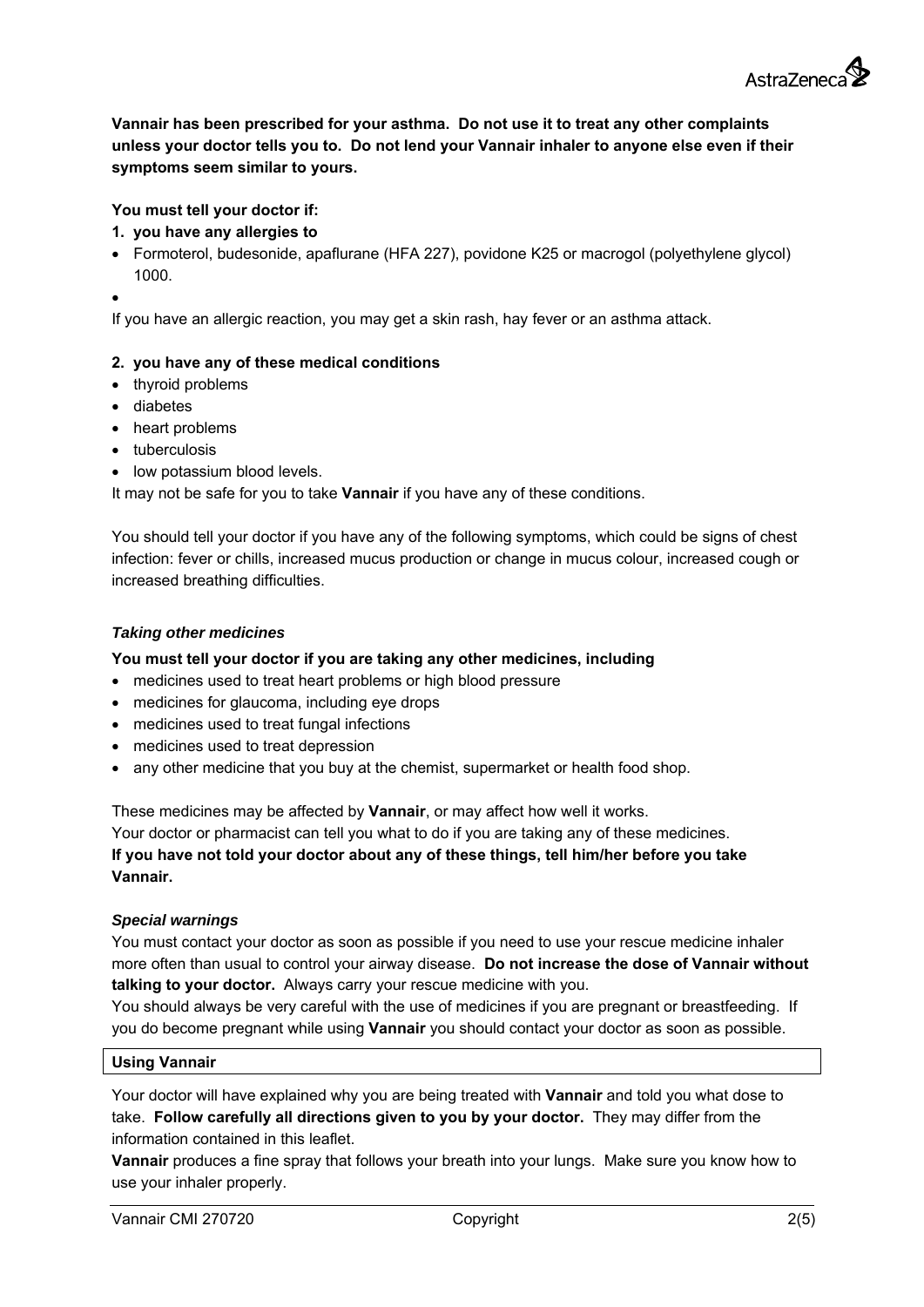

**Vannair has been prescribed for your asthma. Do not use it to treat any other complaints unless your doctor tells you to. Do not lend your Vannair inhaler to anyone else even if their symptoms seem similar to yours.** 

# **You must tell your doctor if:**

#### **1. you have any allergies to**

 Formoterol, budesonide, apaflurane (HFA 227), povidone K25 or macrogol (polyethylene glycol) 1000.

 $\bullet$ 

If you have an allergic reaction, you may get a skin rash, hay fever or an asthma attack.

# **2. you have any of these medical conditions**

- thyroid problems
- diabetes
- heart problems
- tuberculosis
- low potassium blood levels.

It may not be safe for you to take **Vannair** if you have any of these conditions.

You should tell your doctor if you have any of the following symptoms, which could be signs of chest infection: fever or chills, increased mucus production or change in mucus colour, increased cough or increased breathing difficulties.

#### *Taking other medicines*

**You must tell your doctor if you are taking any other medicines, including** 

- medicines used to treat heart problems or high blood pressure
- medicines for glaucoma, including eye drops
- medicines used to treat fungal infections
- medicines used to treat depression
- any other medicine that you buy at the chemist, supermarket or health food shop.

These medicines may be affected by **Vannair**, or may affect how well it works.

Your doctor or pharmacist can tell you what to do if you are taking any of these medicines. **If you have not told your doctor about any of these things, tell him/her before you take Vannair.** 

#### *Special warnings*

You must contact your doctor as soon as possible if you need to use your rescue medicine inhaler more often than usual to control your airway disease. **Do not increase the dose of Vannair without talking to your doctor.** Always carry your rescue medicine with you.

You should always be very careful with the use of medicines if you are pregnant or breastfeeding. If you do become pregnant while using **Vannair** you should contact your doctor as soon as possible.

#### **Using Vannair**

Your doctor will have explained why you are being treated with **Vannair** and told you what dose to take. **Follow carefully all directions given to you by your doctor.** They may differ from the information contained in this leaflet.

**Vannair** produces a fine spray that follows your breath into your lungs. Make sure you know how to use your inhaler properly.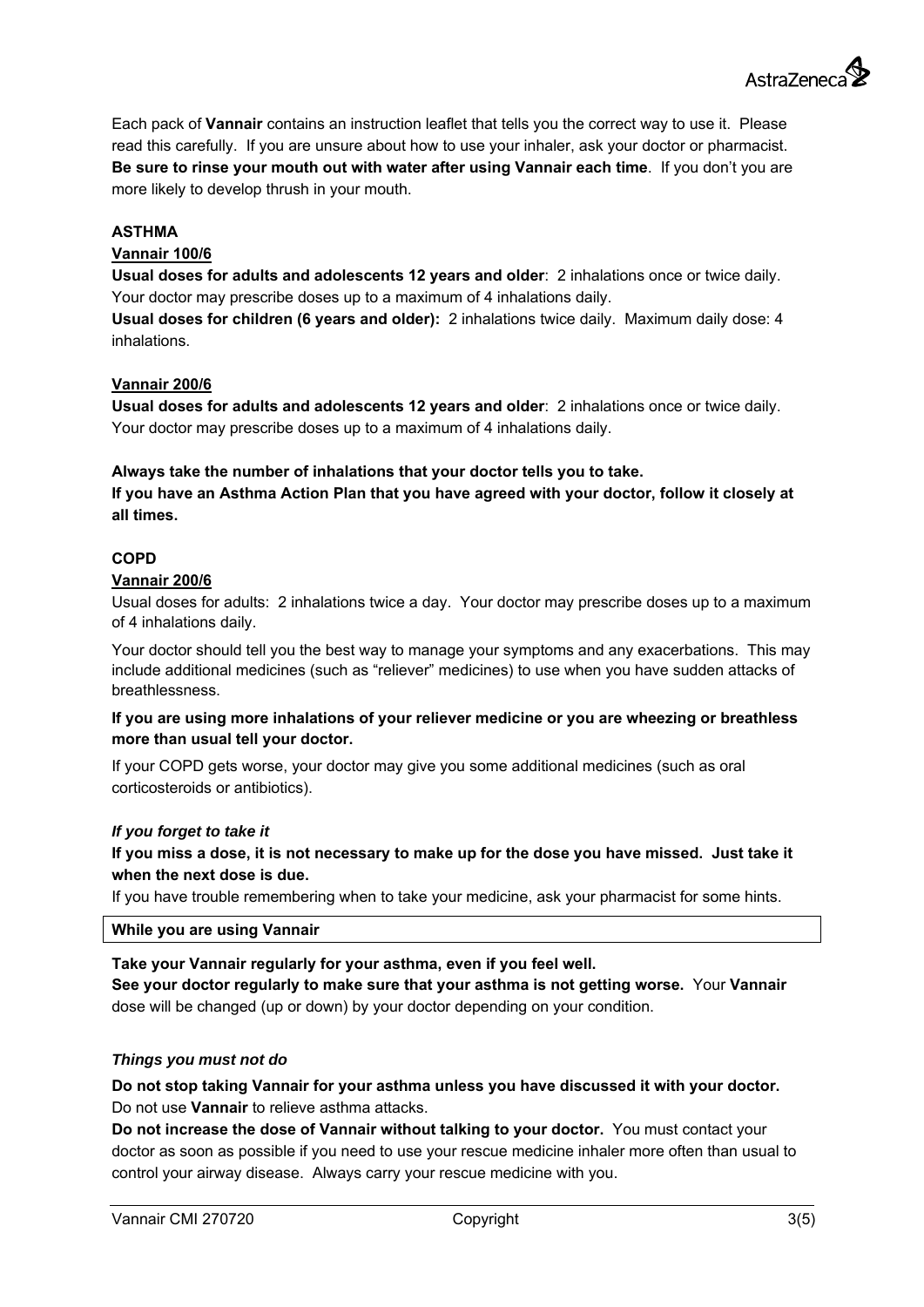Each pack of **Vannair** contains an instruction leaflet that tells you the correct way to use it. Please read this carefully. If you are unsure about how to use your inhaler, ask your doctor or pharmacist.

**Be sure to rinse your mouth out with water after using Vannair each time**. If you don't you are more likely to develop thrush in your mouth.

# **ASTHMA**

#### **Vannair 100/6**

**Usual doses for adults and adolescents 12 years and older**: 2 inhalations once or twice daily. Your doctor may prescribe doses up to a maximum of 4 inhalations daily.

**Usual doses for children (6 years and older):** 2 inhalations twice daily. Maximum daily dose: 4 inhalations.

#### **Vannair 200/6**

**Usual doses for adults and adolescents 12 years and older**: 2 inhalations once or twice daily. Your doctor may prescribe doses up to a maximum of 4 inhalations daily.

# **Always take the number of inhalations that your doctor tells you to take. If you have an Asthma Action Plan that you have agreed with your doctor, follow it closely at all times.**

# **COPD**

#### **Vannair 200/6**

Usual doses for adults: 2 inhalations twice a day. Your doctor may prescribe doses up to a maximum of 4 inhalations daily.

Your doctor should tell you the best way to manage your symptoms and any exacerbations. This may include additional medicines (such as "reliever" medicines) to use when you have sudden attacks of breathlessness.

#### **If you are using more inhalations of your reliever medicine or you are wheezing or breathless more than usual tell your doctor.**

If your COPD gets worse, your doctor may give you some additional medicines (such as oral corticosteroids or antibiotics).

#### *If you forget to take it*

**If you miss a dose, it is not necessary to make up for the dose you have missed. Just take it when the next dose is due.** 

If you have trouble remembering when to take your medicine, ask your pharmacist for some hints.

#### **While you are using Vannair**

**Take your Vannair regularly for your asthma, even if you feel well. See your doctor regularly to make sure that your asthma is not getting worse.** Your **Vannair** dose will be changed (up or down) by your doctor depending on your condition.

#### *Things you must not do*

**Do not stop taking Vannair for your asthma unless you have discussed it with your doctor.**  Do not use **Vannair** to relieve asthma attacks.

**Do not increase the dose of Vannair without talking to your doctor.** You must contact your doctor as soon as possible if you need to use your rescue medicine inhaler more often than usual to control your airway disease. Always carry your rescue medicine with you.

Astra7eneca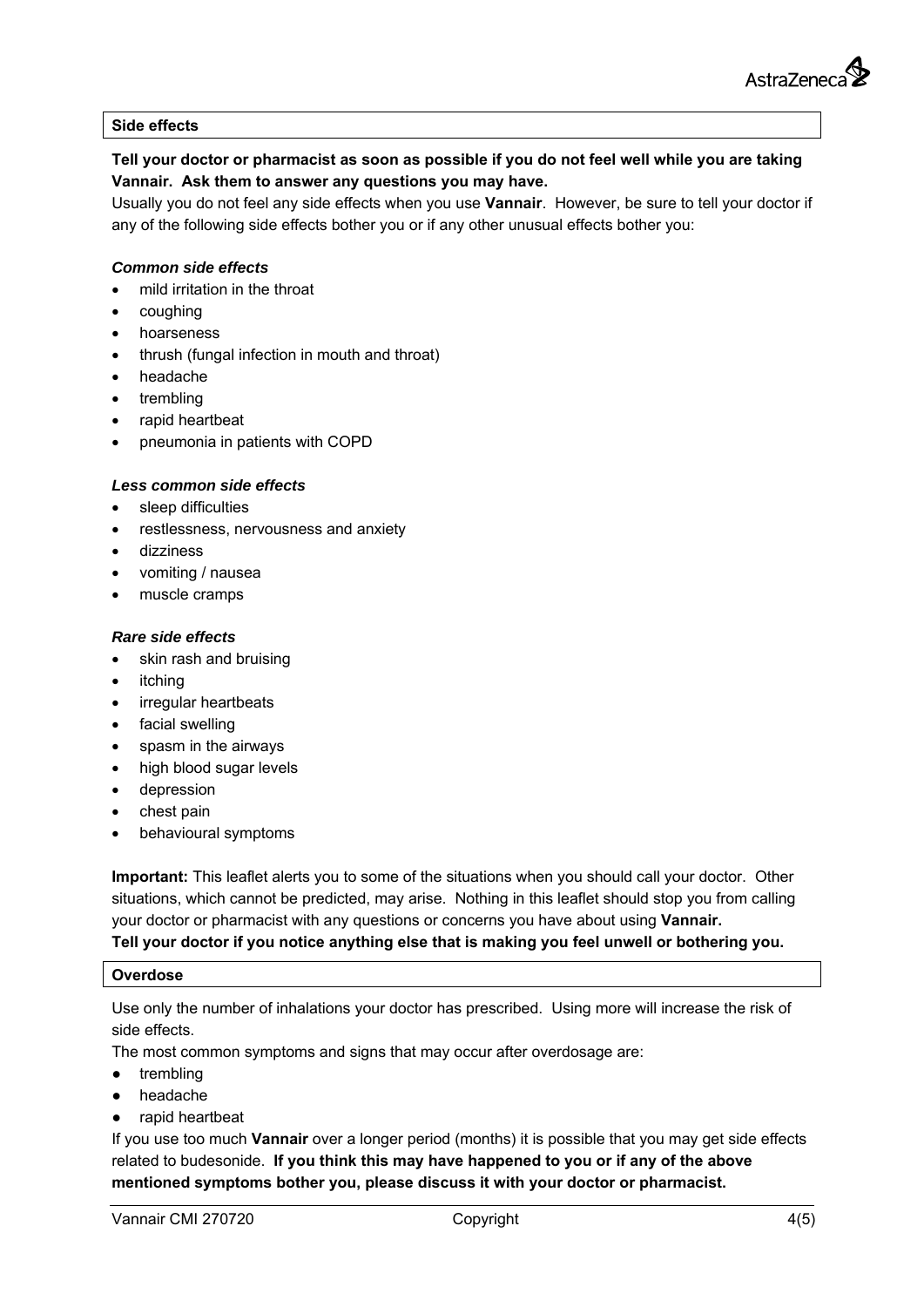#### **Side effects**

# **Tell your doctor or pharmacist as soon as possible if you do not feel well while you are taking Vannair. Ask them to answer any questions you may have.**

Usually you do not feel any side effects when you use **Vannair**. However, be sure to tell your doctor if any of the following side effects bother you or if any other unusual effects bother you:

#### *Common side effects*

- mild irritation in the throat
- coughing
- hoarseness
- thrush (fungal infection in mouth and throat)
- headache
- trembling
- rapid heartbeat
- pneumonia in patients with COPD

#### *Less common side effects*

- sleep difficulties
- restlessness, nervousness and anxiety
- dizziness
- vomiting / nausea
- muscle cramps

#### *Rare side effects*

- skin rash and bruising
- itching
- irregular heartbeats
- facial swelling
- spasm in the airways
- high blood sugar levels
- depression
- chest pain
- behavioural symptoms

**Important:** This leaflet alerts you to some of the situations when you should call your doctor. Other situations, which cannot be predicted, may arise. Nothing in this leaflet should stop you from calling your doctor or pharmacist with any questions or concerns you have about using **Vannair.**

# **Tell your doctor if you notice anything else that is making you feel unwell or bothering you.**

#### **Overdose**

Use only the number of inhalations your doctor has prescribed. Using more will increase the risk of side effects.

The most common symptoms and signs that may occur after overdosage are:

- trembling
- headache
- rapid heartbeat

If you use too much **Vannair** over a longer period (months) it is possible that you may get side effects related to budesonide. **If you think this may have happened to you or if any of the above mentioned symptoms bother you, please discuss it with your doctor or pharmacist.**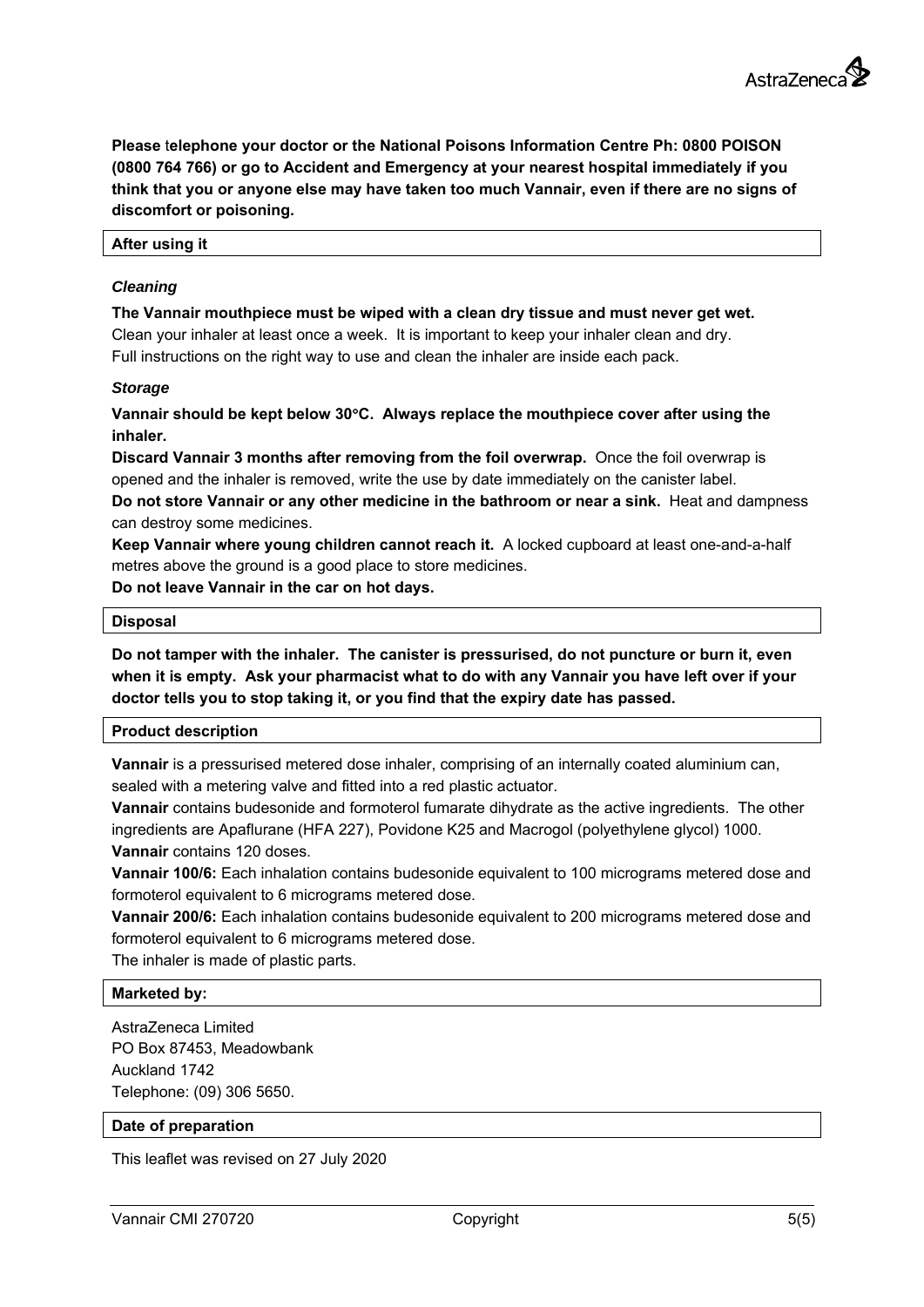**Please** t**elephone your doctor or the National Poisons Information Centre Ph: 0800 POISON (0800 764 766) or go to Accident and Emergency at your nearest hospital immediately if you think that you or anyone else may have taken too much Vannair, even if there are no signs of discomfort or poisoning.** 

#### **After using it**

#### *Cleaning*

**The Vannair mouthpiece must be wiped with a clean dry tissue and must never get wet.**  Clean your inhaler at least once a week. It is important to keep your inhaler clean and dry. Full instructions on the right way to use and clean the inhaler are inside each pack.

#### *Storage*

**Vannair should be kept below 30C. Always replace the mouthpiece cover after using the inhaler.** 

**Discard Vannair 3 months after removing from the foil overwrap.** Once the foil overwrap is opened and the inhaler is removed, write the use by date immediately on the canister label.

**Do not store Vannair or any other medicine in the bathroom or near a sink.** Heat and dampness can destroy some medicines.

**Keep Vannair where young children cannot reach it.** A locked cupboard at least one-and-a-half metres above the ground is a good place to store medicines.

**Do not leave Vannair in the car on hot days.** 

#### **Disposal**

**Do not tamper with the inhaler. The canister is pressurised, do not puncture or burn it, even when it is empty. Ask your pharmacist what to do with any Vannair you have left over if your doctor tells you to stop taking it, or you find that the expiry date has passed.** 

#### **Product description**

**Vannair** is a pressurised metered dose inhaler, comprising of an internally coated aluminium can, sealed with a metering valve and fitted into a red plastic actuator.

**Vannair** contains budesonide and formoterol fumarate dihydrate as the active ingredients. The other ingredients are Apaflurane (HFA 227), Povidone K25 and Macrogol (polyethylene glycol) 1000.

**Vannair** contains 120 doses.

**Vannair 100/6:** Each inhalation contains budesonide equivalent to 100 micrograms metered dose and formoterol equivalent to 6 micrograms metered dose.

**Vannair 200/6:** Each inhalation contains budesonide equivalent to 200 micrograms metered dose and formoterol equivalent to 6 micrograms metered dose.

The inhaler is made of plastic parts.

# **Marketed by:**

AstraZeneca Limited PO Box 87453, Meadowbank Auckland 1742 Telephone: (09) 306 5650.

#### **Date of preparation**

This leaflet was revised on 27 July 2020